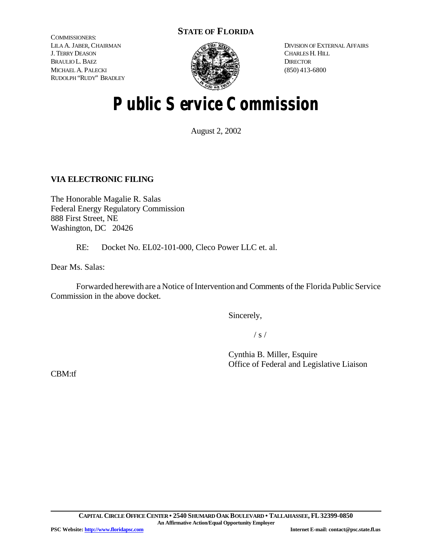# **STATE OF FLORIDA**

COMMISSIONERS: LILA A. JABER, CHAIRMAN J. TERRY DEASON BRAULIO L. BAEZ MICHAEL A. PALECKI RUDOLPH "RUDY" BRADLEY



DIVISION OF EXTERNAL AFFAIRS CHARLES H. HILL **DIRECTOR** (850) 413-6800

# **Public Service Commission**

August 2, 2002

# **VIA ELECTRONIC FILING**

The Honorable Magalie R. Salas Federal Energy Regulatory Commission 888 First Street, NE Washington, DC 20426

RE: Docket No. EL02-101-000, Cleco Power LLC et. al.

Dear Ms. Salas:

Forwarded herewith are a Notice of Intervention and Comments of the Florida Public Service Commission in the above docket.

Sincerely,

 $/ s /$ 

Cynthia B. Miller, Esquire Office of Federal and Legislative Liaison

CBM:tf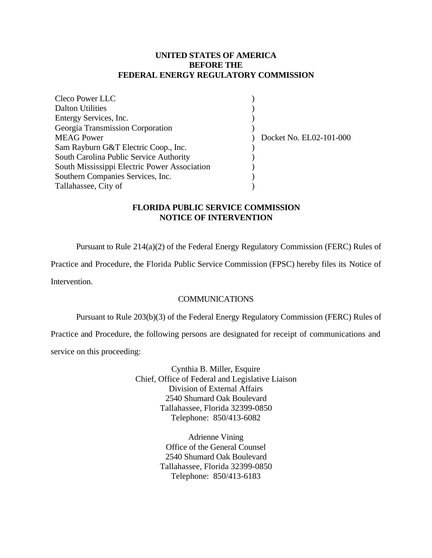## **UNITED STATES OF AMERICA BEFORE THE FEDERAL ENERGY REGULATORY COMMISSION**

| <b>Cleco Power LLC</b>                       |                         |
|----------------------------------------------|-------------------------|
| <b>Dalton Utilities</b>                      |                         |
| Entergy Services, Inc.                       |                         |
| Georgia Transmission Corporation             |                         |
| <b>MEAG Power</b>                            | Docket No. EL02-101-000 |
| Sam Rayburn G&T Electric Coop., Inc.         |                         |
| South Carolina Public Service Authority      |                         |
| South Mississippi Electric Power Association |                         |
| Southern Companies Services, Inc.            |                         |
| Tallahassee, City of                         |                         |

# **FLORIDA PUBLIC SERVICE COMMISSION NOTICE OF INTERVENTION**

Pursuant to Rule 214(a)(2) of the Federal Energy Regulatory Commission (FERC) Rules of

Practice and Procedure, the Florida Public Service Commission (FPSC) hereby files its Notice of

Intervention.

## **COMMUNICATIONS**

Pursuant to Rule 203(b)(3) of the Federal Energy Regulatory Commission (FERC) Rules of

Practice and Procedure, the following persons are designated for receipt of communications and service on this proceeding:

> Cynthia B. Miller, Esquire Chief, Office of Federal and Legislative Liaison Division of External Affairs 2540 Shumard Oak Boulevard Tallahassee, Florida 32399-0850 Telephone: 850/413-6082

> > Adrienne Vining Office of the General Counsel 2540 Shumard Oak Boulevard Tallahassee, Florida 32399-0850 Telephone: 850/413-6183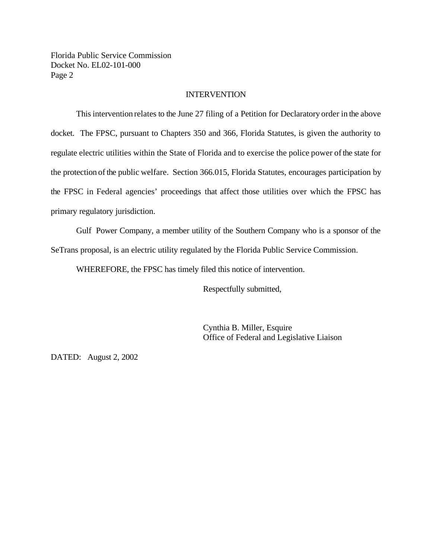## **INTERVENTION**

This intervention relates to the June 27 filing of a Petition for Declaratory order in the above docket. The FPSC, pursuant to Chapters 350 and 366, Florida Statutes, is given the authority to regulate electric utilities within the State of Florida and to exercise the police power ofthe state for the protection of the public welfare. Section 366.015, Florida Statutes, encourages participation by the FPSC in Federal agencies' proceedings that affect those utilities over which the FPSC has primary regulatory jurisdiction.

Gulf Power Company, a member utility of the Southern Company who is a sponsor of the SeTrans proposal, is an electric utility regulated by the Florida Public Service Commission.

WHEREFORE, the FPSC has timely filed this notice of intervention.

Respectfully submitted,

Cynthia B. Miller, Esquire Office of Federal and Legislative Liaison

DATED: August 2, 2002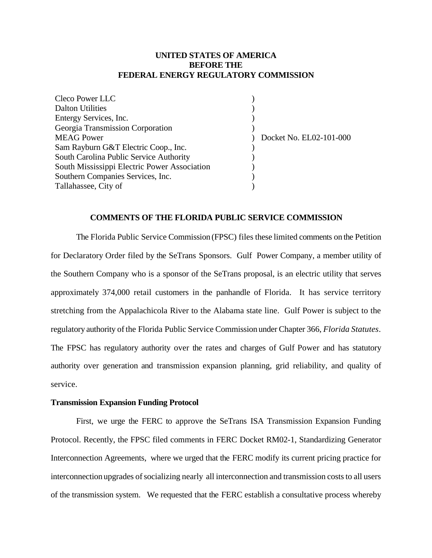## **UNITED STATES OF AMERICA BEFORE THE FEDERAL ENERGY REGULATORY COMMISSION**

| Cleco Power LLC                              |                         |
|----------------------------------------------|-------------------------|
| <b>Dalton Utilities</b>                      |                         |
| Entergy Services, Inc.                       |                         |
| Georgia Transmission Corporation             |                         |
| <b>MEAG Power</b>                            | Docket No. EL02-101-000 |
| Sam Rayburn G&T Electric Coop., Inc.         |                         |
| South Carolina Public Service Authority      |                         |
| South Mississippi Electric Power Association |                         |
| Southern Companies Services, Inc.            |                         |
| Tallahassee, City of                         |                         |

#### **COMMENTS OF THE FLORIDA PUBLIC SERVICE COMMISSION**

The Florida Public Service Commission (FPSC) files these limited comments on the Petition for Declaratory Order filed by the SeTrans Sponsors. Gulf Power Company, a member utility of the Southern Company who is a sponsor of the SeTrans proposal, is an electric utility that serves approximately 374,000 retail customers in the panhandle of Florida. It has service territory stretching from the Appalachicola River to the Alabama state line. Gulf Power is subject to the regulatory authority ofthe Florida Public Service Commission under Chapter 366, *Florida Statutes*. The FPSC has regulatory authority over the rates and charges of Gulf Power and has statutory authority over generation and transmission expansion planning, grid reliability, and quality of service.

#### **Transmission Expansion Funding Protocol**

First, we urge the FERC to approve the SeTrans ISA Transmission Expansion Funding Protocol. Recently, the FPSC filed comments in FERC Docket RM02-1, Standardizing Generator Interconnection Agreements, where we urged that the FERC modify its current pricing practice for interconnection upgrades of socializing nearly all interconnection and transmission costs to all users of the transmission system. We requested that the FERC establish a consultative process whereby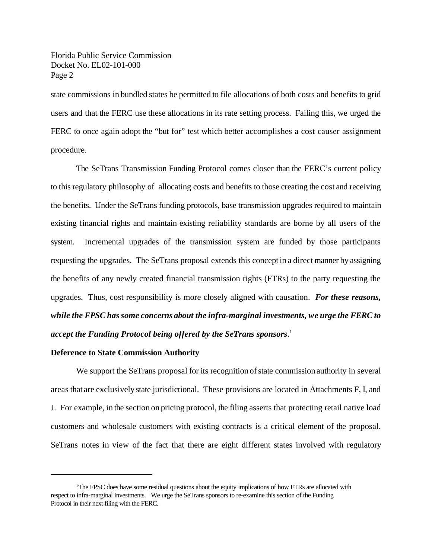state commissions in bundled states be permitted to file allocations of both costs and benefits to grid users and that the FERC use these allocations in its rate setting process. Failing this, we urged the FERC to once again adopt the "but for" test which better accomplishes a cost causer assignment procedure.

The SeTrans Transmission Funding Protocol comes closer than the FERC's current policy to thisregulatory philosophy of allocating costs and benefits to those creating the cost and receiving the benefits. Under the SeTrans funding protocols, base transmission upgrades required to maintain existing financial rights and maintain existing reliability standards are borne by all users of the system. Incremental upgrades of the transmission system are funded by those participants requesting the upgrades. The SeTrans proposal extends this concept in a direct manner by assigning the benefits of any newly created financial transmission rights (FTRs) to the party requesting the upgrades. Thus, cost responsibility is more closely aligned with causation. *For these reasons, while the FPSC has some concerns about the infra-marginal investments, we urge the FERC to accept the Funding Protocol being offered by the SeTrans sponsors*. 1

#### **Deference to State Commission Authority**

We support the SeTrans proposal for its recognition of state commission authority in several areas that are exclusively state jurisdictional. These provisions are located in Attachments F, I, and J. For example, in the section on pricing protocol, the filing asserts that protecting retail native load customers and wholesale customers with existing contracts is a critical element of the proposal. SeTrans notes in view of the fact that there are eight different states involved with regulatory

<sup>1</sup>The FPSC does have some residual questions about the equity implications of how FTRs are allocated with respect to infra-marginal investments. We urge the SeTrans sponsors to re-examine this section of the Funding Protocol in their next filing with the FERC.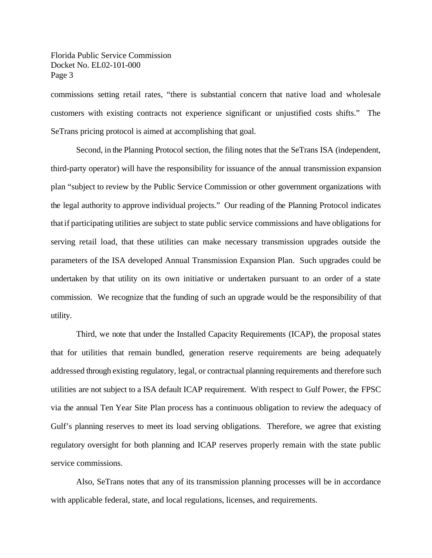commissions setting retail rates, "there is substantial concern that native load and wholesale customers with existing contracts not experience significant or unjustified costs shifts." The SeTrans pricing protocol is aimed at accomplishing that goal.

Second, in the Planning Protocol section, the filing notes that the SeTrans ISA (independent, third-party operator) will have the responsibility for issuance of the annual transmission expansion plan "subject to review by the Public Service Commission or other government organizations with the legal authority to approve individual projects." Our reading of the Planning Protocol indicates thatif participating utilities are subject to state public service commissions and have obligations for serving retail load, that these utilities can make necessary transmission upgrades outside the parameters of the ISA developed Annual Transmission Expansion Plan. Such upgrades could be undertaken by that utility on its own initiative or undertaken pursuant to an order of a state commission. We recognize that the funding of such an upgrade would be the responsibility of that utility.

Third, we note that under the Installed Capacity Requirements (ICAP), the proposal states that for utilities that remain bundled, generation reserve requirements are being adequately addressed through existing regulatory, legal, or contractual planning requirements and therefore such utilities are not subject to a ISA default ICAP requirement. With respect to Gulf Power, the FPSC via the annual Ten Year Site Plan process has a continuous obligation to review the adequacy of Gulf's planning reserves to meet its load serving obligations. Therefore, we agree that existing regulatory oversight for both planning and ICAP reserves properly remain with the state public service commissions.

Also, SeTrans notes that any of its transmission planning processes will be in accordance with applicable federal, state, and local regulations, licenses, and requirements.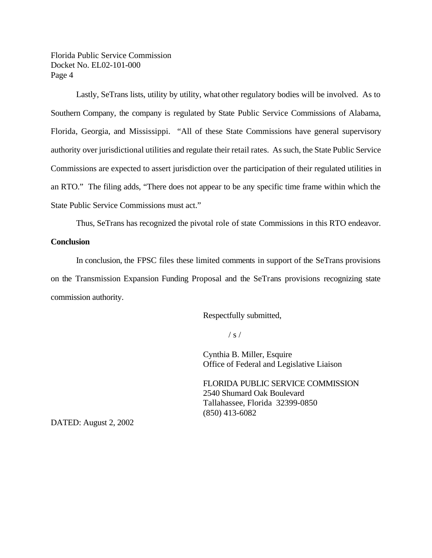Lastly, SeTrans lists, utility by utility, what other regulatory bodies will be involved. As to Southern Company, the company is regulated by State Public Service Commissions of Alabama, Florida, Georgia, and Mississippi. "All of these State Commissions have general supervisory authority over jurisdictional utilities and regulate their retail rates. As such, the State Public Service Commissions are expected to assert jurisdiction over the participation of their regulated utilities in an RTO." The filing adds, "There does not appear to be any specific time frame within which the State Public Service Commissions must act."

Thus, SeTrans has recognized the pivotal role of state Commissions in this RTO endeavor.

## **Conclusion**

In conclusion, the FPSC files these limited comments in support of the SeTrans provisions on the Transmission Expansion Funding Proposal and the SeTrans provisions recognizing state commission authority.

Respectfully submitted,

 $/ s /$ 

Cynthia B. Miller, Esquire Office of Federal and Legislative Liaison

FLORIDA PUBLIC SERVICE COMMISSION 2540 Shumard Oak Boulevard Tallahassee, Florida 32399-0850 (850) 413-6082

DATED: August 2, 2002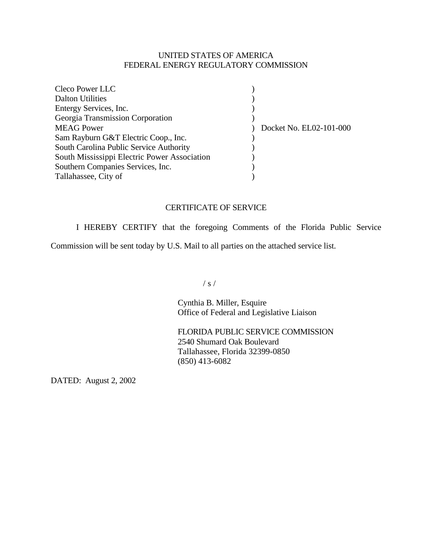# UNITED STATES OF AMERICA FEDERAL ENERGY REGULATORY COMMISSION

| Cleco Power LLC                              |                         |  |
|----------------------------------------------|-------------------------|--|
| <b>Dalton Utilities</b>                      |                         |  |
| Entergy Services, Inc.                       |                         |  |
| Georgia Transmission Corporation             |                         |  |
| <b>MEAG Power</b>                            | Docket No. EL02-101-000 |  |
| Sam Rayburn G&T Electric Coop., Inc.         |                         |  |
| South Carolina Public Service Authority      |                         |  |
| South Mississippi Electric Power Association |                         |  |
| Southern Companies Services, Inc.            |                         |  |
| Tallahassee, City of                         |                         |  |

# CERTIFICATE OF SERVICE

I HEREBY CERTIFY that the foregoing Comments of the Florida Public Service

Commission will be sent today by U.S. Mail to all parties on the attached service list.

 $/ s /$ 

Cynthia B. Miller, Esquire Office of Federal and Legislative Liaison

FLORIDA PUBLIC SERVICE COMMISSION 2540 Shumard Oak Boulevard Tallahassee, Florida 32399-0850 (850) 413-6082

DATED: August 2, 2002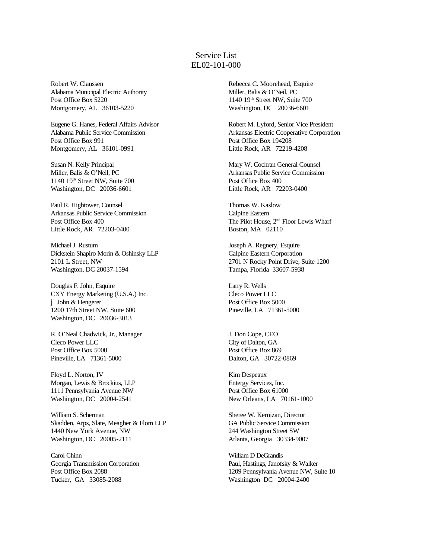# Service List EL02-101-000

Robert W. Claussen Alabama Municipal Electric Authority Post Office Box 5220 Montgomery, AL 36103-5220

Eugene G. Hanes, Federal Affairs Advisor Alabama Public Service Commission Post Office Box 991 Montgomery, AL 36101-0991

Susan N. Kelly Principal Miller, Balis & O'Neil, PC 1140 19th Street NW, Suite 700 Washington, DC 20036-6601

Paul R. Hightower, Counsel Arkansas Public Service Commission Post Office Box 400 Little Rock, AR 72203-0400

Michael J. Rustum Dickstein Shapiro Morin & Oshinsky LLP 2101 L Street, NW Washington, DC 20037-1594

Douglas F. John, Esquire CXY Energy Marketing (U.S.A.) Inc. j John & Hengerer 1200 17th Street NW, Suite 600 Washington, DC 20036-3013

R. O'Neal Chadwick, Jr., Manager Cleco Power LLC Post Office Box 5000 Pineville, LA 71361-5000

Floyd L. Norton, IV Morgan, Lewis & Brockius, LLP 1111 Pennsylvania Avenue NW Washington, DC 20004-2541

William S. Scherman Skadden, Arps, Slate, Meagher & Flom LLP 1440 New York Avenue, NW Washington, DC 20005-2111

Carol Chinn Georgia Transmission Corporation Post Office Box 2088 Tucker, GA 33085-2088

Rebecca C. Moorehead, Esquire Miller, Balis & O'Neil, PC 1140 19th Street NW, Suite 700 Washington, DC 20036-6601

Robert M. Lyford, Senior Vice President Arkansas Electric Cooperative Corporation Post Office Box 194208 Little Rock, AR 72219-4208

Mary W. Cochran General Counsel Arkansas Public Service Commission Post Office Box 400 Little Rock, AR 72203-0400

Thomas W. Kaslow Calpine Eastern The Pilot House, 2nd Floor Lewis Wharf Boston, MA 02110

Joseph A. Regnery, Esquire Calpine Eastern Corporation 2701 N Rocky Point Drive, Suite 1200 Tampa, Florida 33607-5938

Larry R. Wells Cleco Power LLC Post Office Box 5000 Pineville, LA 71361-5000

J. Don Cope, CEO City of Dalton, GA Post Office Box 869 Dalton, GA 30722-0869

Kim Despeaux Entergy Services, Inc. Post Office Box 61000 New Orleans, LA 70161-1000

Sheree W. Kernizan, Director GA Public Service Commission 244 Washington Street SW Atlanta, Georgia 30334-9007

William D DeGrandis Paul, Hastings, Janofsky & Walker 1209 Pennsylvania Avenue NW, Suite 10 Washington DC 20004-2400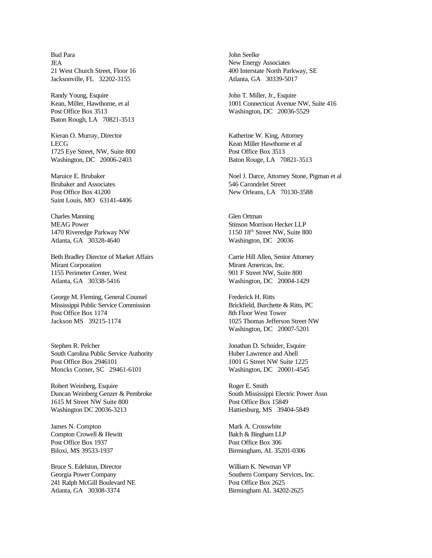Bud Para **IEA** 21 West Church Street, Floor 16 Jacksonville, FL 32202-3155

Randy Young, Esquire Kean, Miller, Hawthorne, et al Post Office Box 3513 Baton Rough, LA 70821-3513

Kieran O. Murray, Director LECG 1725 Eye Street, NW, Suite 800 Washington, DC 20006-2403

Maruice E. Brubaker Brubaker and Associates Post Office Box 41200 Saint Louis, MO 63141-4406

Charles Manning MEAG Power 1470 Riveredge Parkway NW Atlanta, GA 30328-4640

Beth Bradley Director of Market Affairs Mirant Corporation 1155 Perimeter Center, West Atlanta, GA 30338-5416

George M. Fleming, General Counsel Mississippi Public Service Commission Post Office Box 1174 Jackson MS 39215-1174

Stephen R. Pelcher South Carolina Public Service Authority Post Office Box 2946101 Moncks Corner, SC 29461-6101

Robert Weinberg, Esquire Duncan Weinberg Genzer & Pembroke 1615 M Street NW Suite 800 Washington DC 20036-3213

James N. Compton Compton Crowell & Hewitt Post Office Box 1937 Biloxi, MS 39533-1937

Bruce S. Edelston, Director Georgia Power Company 241 Ralph McGill Boulevard NE Atlanta, GA 30308-3374

John Seelke New Energy Associates 400 Interstate North Parkway, SE Atlanta, GA 30339-5017

John T. Miller, Jr., Esquire 1001 Connecticut Avenue NW, Suite 416 Washington, DC 20036-5529

Katherine W. King, Attorney Kean Miller Hawthorne et al Post Office Box 3513 Baton Rouge, LA 70821-3513

Noel J. Darce, Attorney Stone, Pigman et al 546 Carondelet Street New Orleans, LA 70130-3588

Glen Ortman Stinson Morrison Hecker LLP 1150 18th Street NW, Suite 800 Washington, DC 20036

Carrie Hill Allen, Senior Attorney Mirant Americas, Inc. 901 F Street NW, Suite 800 Washington, DC 20004-1429

Frederick H. Ritts Brickfield, Burchette & Ritts, PC 8th Floor West Tower 1025 Thomas Jefferson Street NW Washington, DC 20007-5201

Jonathan D. Schnider, Esquire Huber Lawrence and Abell 1001 G Street NW Suite 1225 Washington, DC 20001-4545

Roger E. Smith South Mississippi Electric Power Assn Post Office Box 15849 Hattiesburg, MS 39404-5849

Mark A. Crosswhite Balch & Bingham LLP Post Office Box 306 Birmingham, AL 35201-0306

William K. Newman VP Southern Company Services, Inc. Post Office Box 2625 Birmingham AL 34202-2625